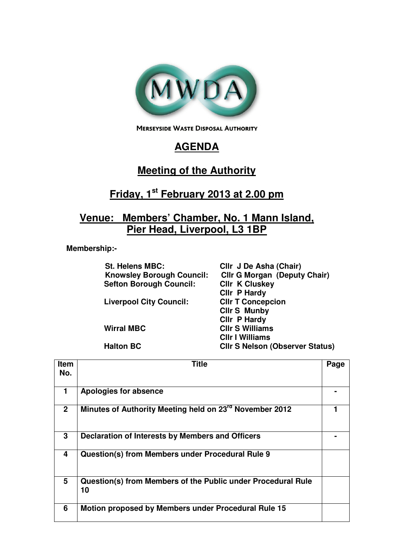

**MERSEYSIDE WASTE DISPOSAL AUTHORITY** 

## **AGENDA**

## **Meeting of the Authority**

## **Friday, 1st February 2013 at 2.00 pm**

## **Venue: Members' Chamber, No. 1 Mann Island, Pier Head, Liverpool, L3 1BP**

 **Membership:-** 

| <b>St. Helens MBC:</b>           | Cllr J De Asha (Chair)                 |
|----------------------------------|----------------------------------------|
| <b>Knowsley Borough Council:</b> | <b>Cllr G Morgan (Deputy Chair)</b>    |
| <b>Sefton Borough Council:</b>   | <b>CIIr K Cluskey</b>                  |
|                                  | Cllr P Hardy                           |
| <b>Liverpool City Council:</b>   | <b>CIIr T Concepcion</b>               |
|                                  | <b>Cllr S Munby</b>                    |
|                                  | Cllr P Hardy                           |
| <b>Wirral MBC</b>                | <b>CIIr S Williams</b>                 |
|                                  | <b>CIIr I Williams</b>                 |
| <b>Halton BC</b>                 | <b>CIIr S Nelson (Observer Status)</b> |
|                                  |                                        |

| <b>Item</b><br>No. | Title                                                              | Page |
|--------------------|--------------------------------------------------------------------|------|
| 1.                 | Apologies for absence                                              |      |
| $\overline{2}$     | Minutes of Authority Meeting held on 23rd November 2012            |      |
| 3                  | Declaration of Interests by Members and Officers                   |      |
| 4                  | Question(s) from Members under Procedural Rule 9                   |      |
| 5                  | Question(s) from Members of the Public under Procedural Rule<br>10 |      |
| 6                  | Motion proposed by Members under Procedural Rule 15                |      |